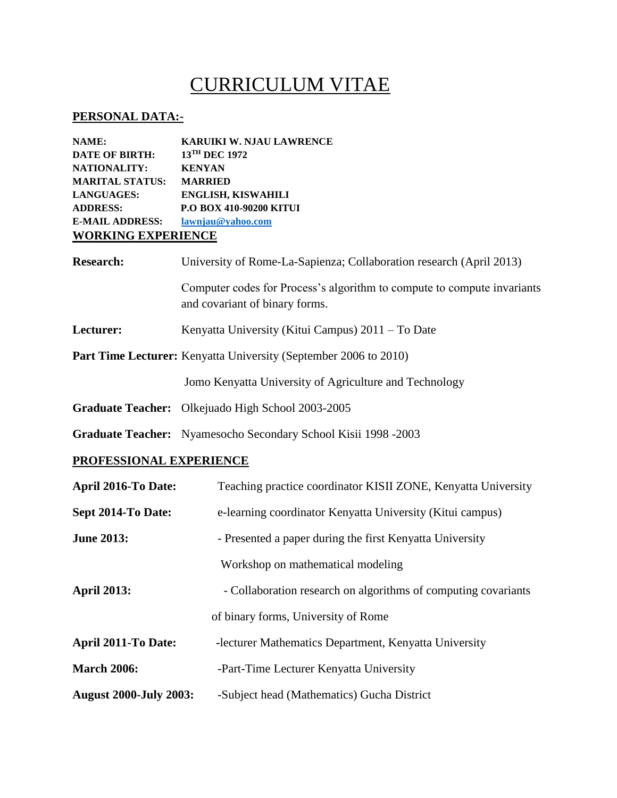## CURRICULUM VITAE

## **PERSONAL DATA:-**

| NAME:                     | <b>KARUIKI W. NJAU LAWRENCE</b> |  |
|---------------------------|---------------------------------|--|
| <b>DATE OF BIRTH:</b>     | $13$ <sup>TH</sup> DEC 1972     |  |
| <b>NATIONALITY:</b>       | <b>KENYAN</b>                   |  |
| <b>MARITAL STATUS:</b>    | <b>MARRIED</b>                  |  |
| <b>LANGUAGES:</b>         | <b>ENGLISH, KISWAHILI</b>       |  |
| <b>ADDRESS:</b>           | P.O BOX 410-90200 KITUI         |  |
| <b>E-MAIL ADDRESS:</b>    | lawnjau@yahoo.com               |  |
| <b>WORKING EXPERIENCE</b> |                                 |  |

| <b>Research:</b>                                                        | University of Rome-La-Sapienza; Collaboration research (April 2013)                                       |  |
|-------------------------------------------------------------------------|-----------------------------------------------------------------------------------------------------------|--|
|                                                                         | Computer codes for Process's algorithm to compute to compute invariants<br>and covariant of binary forms. |  |
| Lecturer:                                                               | Kenyatta University (Kitui Campus) $2011 - To$ Date                                                       |  |
| <b>Part Time Lecturer:</b> Kenyatta University (September 2006 to 2010) |                                                                                                           |  |
|                                                                         | Jomo Kenyatta University of Agriculture and Technology                                                    |  |
|                                                                         |                                                                                                           |  |

- **Graduate Teacher:** Olkejuado High School 2003-2005
- **Graduate Teacher:** Nyamesocho Secondary School Kisii 1998 -2003

## **PROFESSIONAL EXPERIENCE**

| <b>April 2016-To Date:</b>    | Teaching practice coordinator KISII ZONE, Kenyatta University  |  |
|-------------------------------|----------------------------------------------------------------|--|
| Sept 2014-To Date:            | e-learning coordinator Kenyatta University (Kitui campus)      |  |
| <b>June 2013:</b>             | - Presented a paper during the first Kenyatta University       |  |
|                               | Workshop on mathematical modeling                              |  |
| <b>April 2013:</b>            | - Collaboration research on algorithms of computing covariants |  |
|                               | of binary forms, University of Rome                            |  |
| <b>April 2011-To Date:</b>    | -lecturer Mathematics Department, Kenyatta University          |  |
| <b>March 2006:</b>            | -Part-Time Lecturer Kenyatta University                        |  |
| <b>August 2000-July 2003:</b> | -Subject head (Mathematics) Gucha District                     |  |